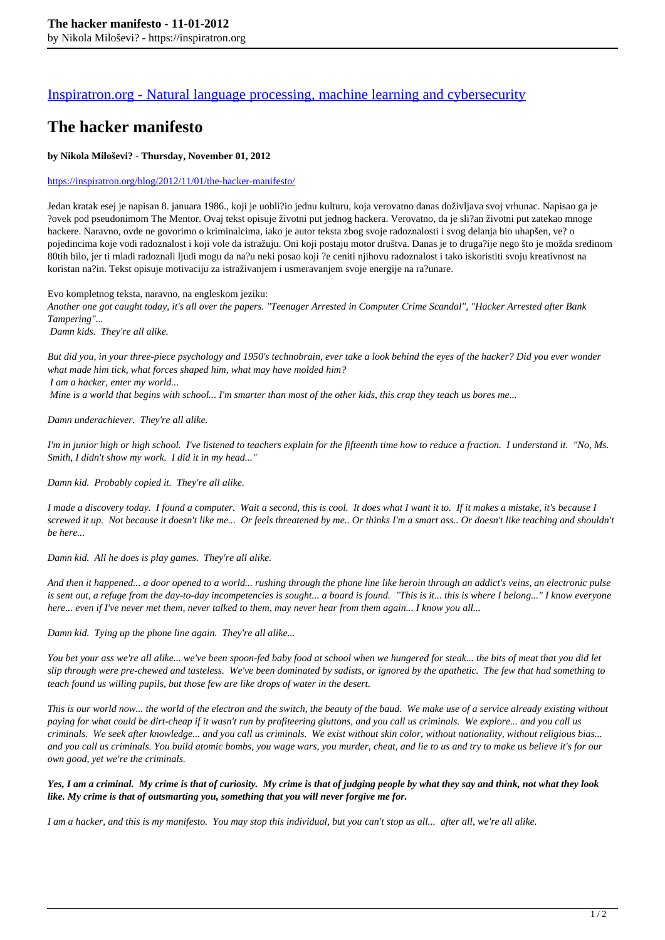## [Inspiratron.org - Natural language processing, machine learning and cybersecurity](https://inspiratron.org)

# **The hacker manifesto**

### **by Nikola Miloševi? - Thursday, November 01, 2012**

#### https://inspiratron.org/blog/2012/11/01/the-hacker-manifesto/

Jedan kratak esej je napisan 8. januara 1986., koji je uobli?io jednu kulturu, koja verovatno danas doživljava svoj vrhunac. Napisao ga je ?ovek pod pseudonimom The Mentor. Ovaj tekst opisuje životni put jednog hackera. Verovatno, da je sli?an životni put zatekao mnoge hackere. Naravno, ovde ne govorimo o kriminalcima, iako je autor teksta zbog svoje radoznalosti i svog delanja bio uhapšen, ve? o pojedincima koje vodi radoznalost i koji vole da istražuju. Oni koji postaju motor društva. Danas je to druga?ije nego što je možda sredinom 80tih bilo, jer ti mladi radoznali ljudi mogu da na?u neki posao koji ?e ceniti njihovu radoznalost i tako iskoristiti svoju kreativnost na koristan na?in. Tekst opisuje motivaciju za istraživanjem i usmeravanjem svoje energije na ra?unare.

Evo kompletnog teksta, naravno, na engleskom jeziku:

*Another one got caught today, it's all over the papers. "Teenager Arrested in Computer Crime Scandal", "Hacker Arrested after Bank Tampering"...*

 *Damn kids. They're all alike.*

*But did you, in your three-piece psychology and 1950's technobrain, ever take a look behind the eyes of the hacker? Did you ever wonder what made him tick, what forces shaped him, what may have molded him? I am a hacker, enter my world...*

 *Mine is a world that begins with school... I'm smarter than most of the other kids, this crap they teach us bores me...*

*Damn underachiever. They're all alike.*

*I'm in junior high or high school. I've listened to teachers explain for the fifteenth time how to reduce a fraction. I understand it. "No, Ms. Smith, I didn't show my work. I did it in my head..."*

*Damn kid. Probably copied it. They're all alike.*

*I made a discovery today. I found a computer. Wait a second, this is cool. It does what I want it to. If it makes a mistake, it's because I screwed it up. Not because it doesn't like me... Or feels threatened by me.. Or thinks I'm a smart ass.. Or doesn't like teaching and shouldn't be here...*

*Damn kid. All he does is play games. They're all alike.*

*And then it happened... a door opened to a world... rushing through the phone line like heroin through an addict's veins, an electronic pulse is sent out, a refuge from the day-to-day incompetencies is sought... a board is found. "This is it... this is where I belong..." I know everyone here... even if I've never met them, never talked to them, may never hear from them again... I know you all...*

*Damn kid. Tying up the phone line again. They're all alike...*

*You bet your ass we're all alike... we've been spoon-fed baby food at school when we hungered for steak... the bits of meat that you did let slip through were pre-chewed and tasteless. We've been dominated by sadists, or ignored by the apathetic. The few that had something to teach found us willing pupils, but those few are like drops of water in the desert.*

*This is our world now... the world of the electron and the switch, the beauty of the baud. We make use of a service already existing without paying for what could be dirt-cheap if it wasn't run by profiteering gluttons, and you call us criminals. We explore... and you call us criminals. We seek after knowledge... and you call us criminals. We exist without skin color, without nationality, without religious bias... and you call us criminals. You build atomic bombs, you wage wars, you murder, cheat, and lie to us and try to make us believe it's for our own good, yet we're the criminals.*

### *Yes, I am a criminal. My crime is that of curiosity. My crime is that of judging people by what they say and think, not what they look like. My crime is that of outsmarting you, something that you will never forgive me for.*

*I am a hacker, and this is my manifesto. You may stop this individual, but you can't stop us all... after all, we're all alike.*